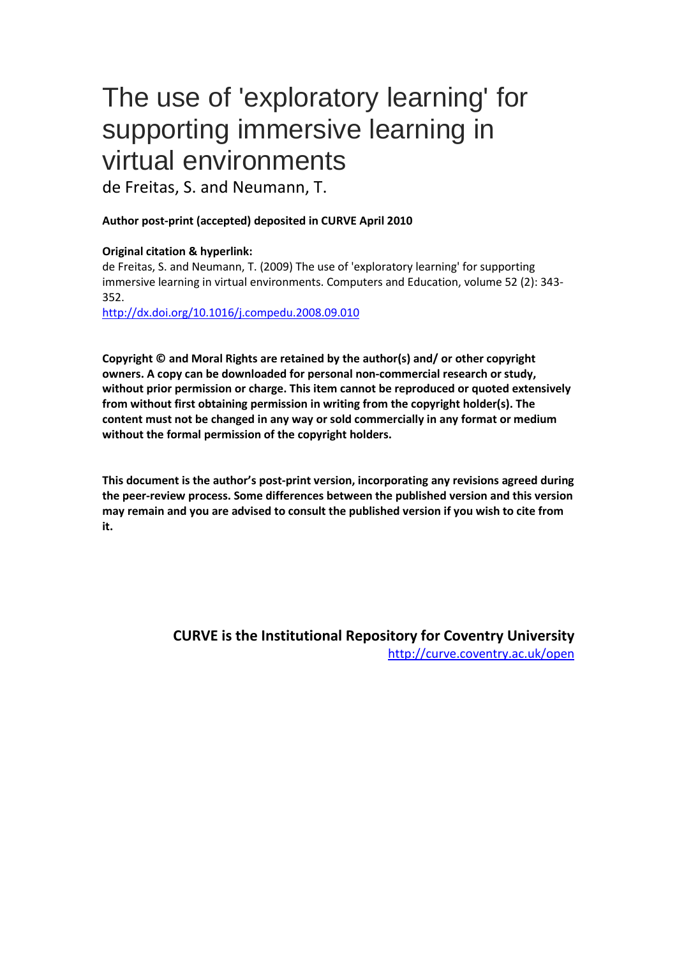# The use of 'exploratory learning' for supporting immersive learning in virtual environments

de Freitas, S. and Neumann, T.

#### **Author post-print (accepted) deposited in CURVE April 2010**

#### **Original citation & hyperlink:**

de Freitas, S. and Neumann, T. (2009) The use of 'exploratory learning' for supporting immersive learning in virtual environments. Computers and Education, volume 52 (2): 343- 352.

http://dx.doi.org/10.1016/j.compedu.2008.09.010

**Copyright © and Moral Rights are retained by the author(s) and/ or other copyright owners. A copy can be downloaded for personal non-commercial research or study, without prior permission or charge. This item cannot be reproduced or quoted extensively from without first obtaining permission in writing from the copyright holder(s). The content must not be changed in any way or sold commercially in any format or medium without the formal permission of the copyright holders.** 

**This document is the author's post-print version, incorporating any revisions agreed during the peer-review process. Some differences between the published version and this version may remain and you are advised to consult the published version if you wish to cite from it.** 

> **CURVE is the Institutional Repository for Coventry University** http://curve.coventry.ac.uk/open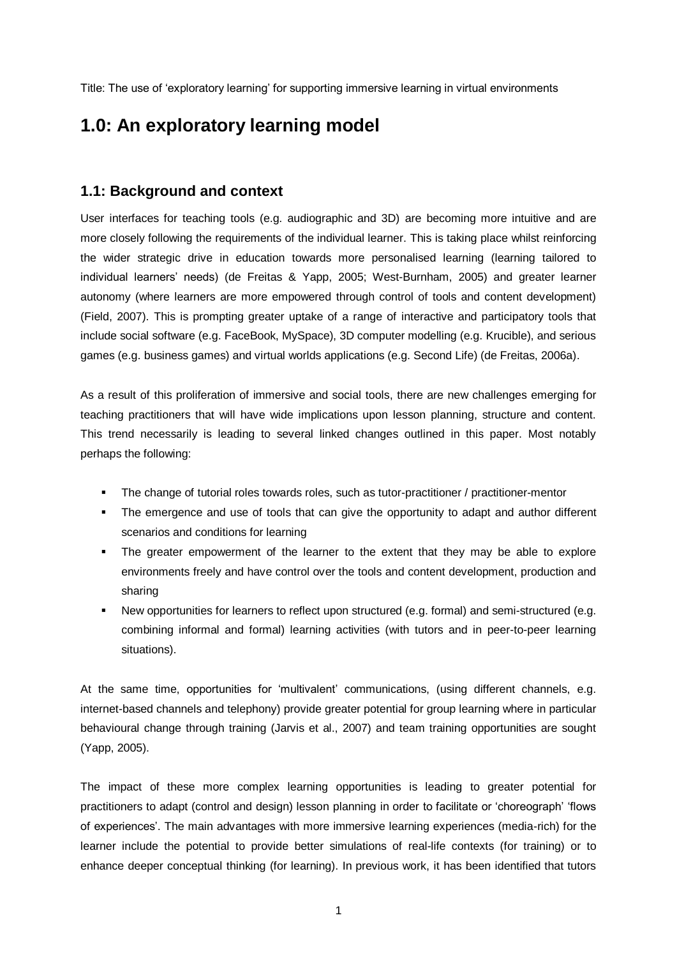Title: The use of 'exploratory learning' for supporting immersive learning in virtual environments

## **1.0: An exploratory learning model**

#### **1.1: Background and context**

User interfaces for teaching tools (e.g. audiographic and 3D) are becoming more intuitive and are more closely following the requirements of the individual learner. This is taking place whilst reinforcing the wider strategic drive in education towards more personalised learning (learning tailored to individual learners' needs) (de Freitas & Yapp, 2005; West-Burnham, 2005) and greater learner autonomy (where learners are more empowered through control of tools and content development) (Field, 2007). This is prompting greater uptake of a range of interactive and participatory tools that include social software (e.g. FaceBook, MySpace), 3D computer modelling (e.g. Krucible), and serious games (e.g. business games) and virtual worlds applications (e.g. Second Life) (de Freitas, 2006a).

As a result of this proliferation of immersive and social tools, there are new challenges emerging for teaching practitioners that will have wide implications upon lesson planning, structure and content. This trend necessarily is leading to several linked changes outlined in this paper. Most notably perhaps the following:

- The change of tutorial roles towards roles, such as tutor-practitioner / practitioner-mentor
- The emergence and use of tools that can give the opportunity to adapt and author different scenarios and conditions for learning
- The greater empowerment of the learner to the extent that they may be able to explore environments freely and have control over the tools and content development, production and sharing
- New opportunities for learners to reflect upon structured (e.g. formal) and semi-structured (e.g. combining informal and formal) learning activities (with tutors and in peer-to-peer learning situations).

At the same time, opportunities for 'multivalent' communications, (using different channels, e.g. internet-based channels and telephony) provide greater potential for group learning where in particular behavioural change through training (Jarvis et al., 2007) and team training opportunities are sought (Yapp, 2005).

The impact of these more complex learning opportunities is leading to greater potential for practitioners to adapt (control and design) lesson planning in order to facilitate or 'choreograph' 'flows of experiences'. The main advantages with more immersive learning experiences (media-rich) for the learner include the potential to provide better simulations of real-life contexts (for training) or to enhance deeper conceptual thinking (for learning). In previous work, it has been identified that tutors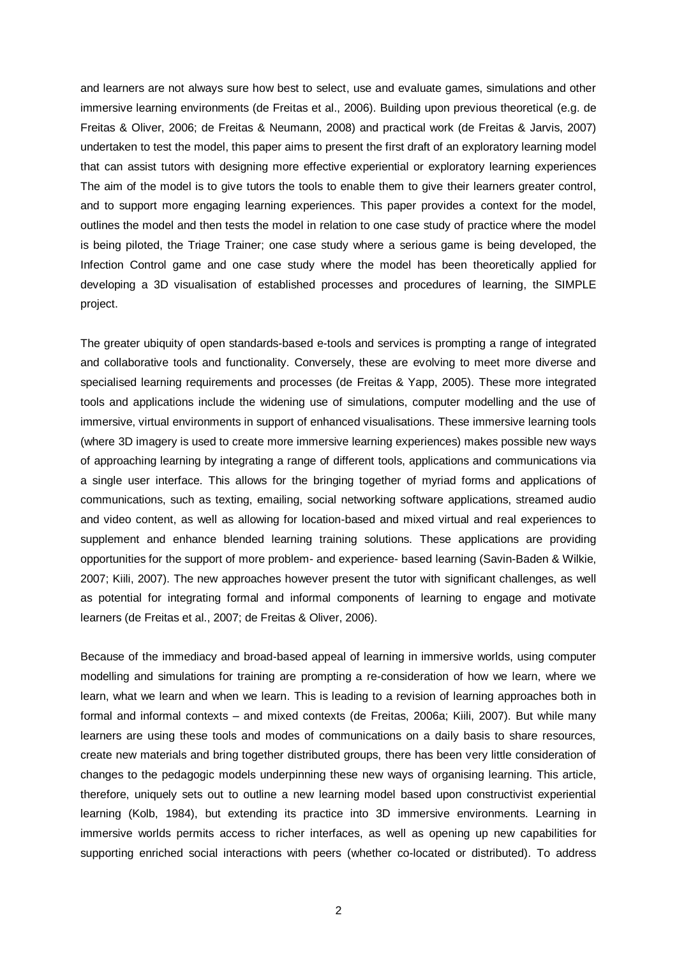and learners are not always sure how best to select, use and evaluate games, simulations and other immersive learning environments (de Freitas et al., 2006). Building upon previous theoretical (e.g. de Freitas & Oliver, 2006; de Freitas & Neumann, 2008) and practical work (de Freitas & Jarvis, 2007) undertaken to test the model, this paper aims to present the first draft of an exploratory learning model that can assist tutors with designing more effective experiential or exploratory learning experiences The aim of the model is to give tutors the tools to enable them to give their learners greater control, and to support more engaging learning experiences. This paper provides a context for the model, outlines the model and then tests the model in relation to one case study of practice where the model is being piloted, the Triage Trainer; one case study where a serious game is being developed, the Infection Control game and one case study where the model has been theoretically applied for developing a 3D visualisation of established processes and procedures of learning, the SIMPLE project.

The greater ubiquity of open standards-based e-tools and services is prompting a range of integrated and collaborative tools and functionality. Conversely, these are evolving to meet more diverse and specialised learning requirements and processes (de Freitas & Yapp, 2005). These more integrated tools and applications include the widening use of simulations, computer modelling and the use of immersive, virtual environments in support of enhanced visualisations. These immersive learning tools (where 3D imagery is used to create more immersive learning experiences) makes possible new ways of approaching learning by integrating a range of different tools, applications and communications via a single user interface. This allows for the bringing together of myriad forms and applications of communications, such as texting, emailing, social networking software applications, streamed audio and video content, as well as allowing for location-based and mixed virtual and real experiences to supplement and enhance blended learning training solutions. These applications are providing opportunities for the support of more problem- and experience- based learning (Savin-Baden & Wilkie, 2007; Kiili, 2007). The new approaches however present the tutor with significant challenges, as well as potential for integrating formal and informal components of learning to engage and motivate learners (de Freitas et al., 2007; de Freitas & Oliver, 2006).

Because of the immediacy and broad-based appeal of learning in immersive worlds, using computer modelling and simulations for training are prompting a re-consideration of how we learn, where we learn, what we learn and when we learn. This is leading to a revision of learning approaches both in formal and informal contexts – and mixed contexts (de Freitas, 2006a; Kiili, 2007). But while many learners are using these tools and modes of communications on a daily basis to share resources, create new materials and bring together distributed groups, there has been very little consideration of changes to the pedagogic models underpinning these new ways of organising learning. This article, therefore, uniquely sets out to outline a new learning model based upon constructivist experiential learning (Kolb, 1984), but extending its practice into 3D immersive environments. Learning in immersive worlds permits access to richer interfaces, as well as opening up new capabilities for supporting enriched social interactions with peers (whether co-located or distributed). To address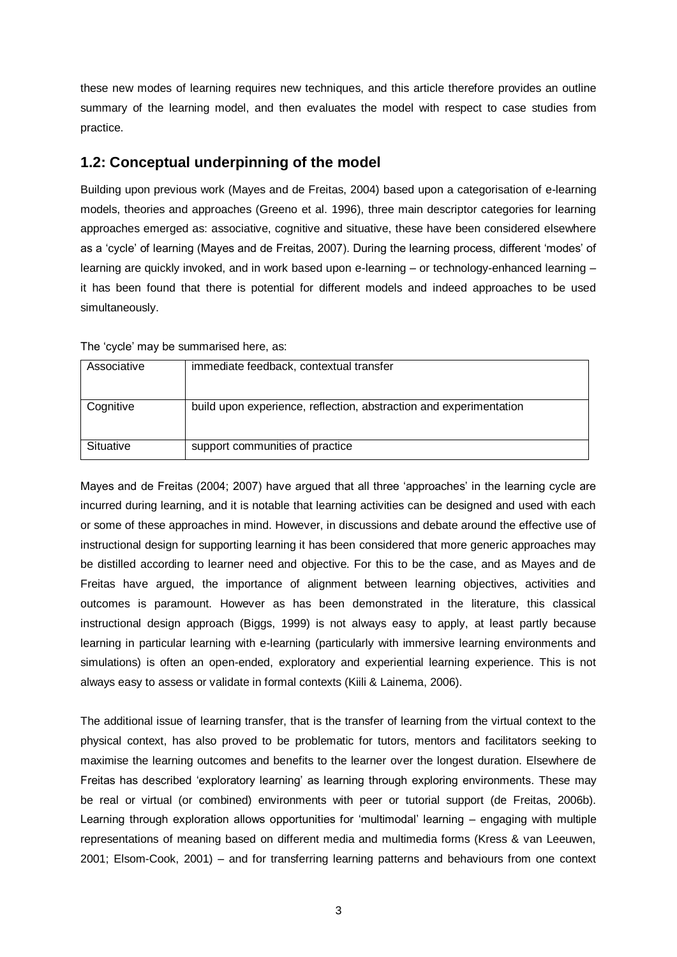these new modes of learning requires new techniques, and this article therefore provides an outline summary of the learning model, and then evaluates the model with respect to case studies from practice.

## **1.2: Conceptual underpinning of the model**

Building upon previous work (Mayes and de Freitas, 2004) based upon a categorisation of e-learning models, theories and approaches (Greeno et al. 1996), three main descriptor categories for learning approaches emerged as: associative, cognitive and situative, these have been considered elsewhere as a 'cycle' of learning (Mayes and de Freitas, 2007). During the learning process, different 'modes' of learning are quickly invoked, and in work based upon e-learning – or technology-enhanced learning – it has been found that there is potential for different models and indeed approaches to be used simultaneously.

The 'cycle' may be summarised here, as:

| Associative | immediate feedback, contextual transfer                            |
|-------------|--------------------------------------------------------------------|
| Cognitive   | build upon experience, reflection, abstraction and experimentation |
| Situative   | support communities of practice                                    |

Mayes and de Freitas (2004; 2007) have argued that all three 'approaches' in the learning cycle are incurred during learning, and it is notable that learning activities can be designed and used with each or some of these approaches in mind. However, in discussions and debate around the effective use of instructional design for supporting learning it has been considered that more generic approaches may be distilled according to learner need and objective. For this to be the case, and as Mayes and de Freitas have argued, the importance of alignment between learning objectives, activities and outcomes is paramount. However as has been demonstrated in the literature, this classical instructional design approach (Biggs, 1999) is not always easy to apply, at least partly because learning in particular learning with e-learning (particularly with immersive learning environments and simulations) is often an open-ended, exploratory and experiential learning experience. This is not always easy to assess or validate in formal contexts (Kiili & Lainema, 2006).

The additional issue of learning transfer, that is the transfer of learning from the virtual context to the physical context, has also proved to be problematic for tutors, mentors and facilitators seeking to maximise the learning outcomes and benefits to the learner over the longest duration. Elsewhere de Freitas has described 'exploratory learning' as learning through exploring environments. These may be real or virtual (or combined) environments with peer or tutorial support (de Freitas, 2006b). Learning through exploration allows opportunities for 'multimodal' learning – engaging with multiple representations of meaning based on different media and multimedia forms (Kress & van Leeuwen, 2001; Elsom-Cook, 2001) – and for transferring learning patterns and behaviours from one context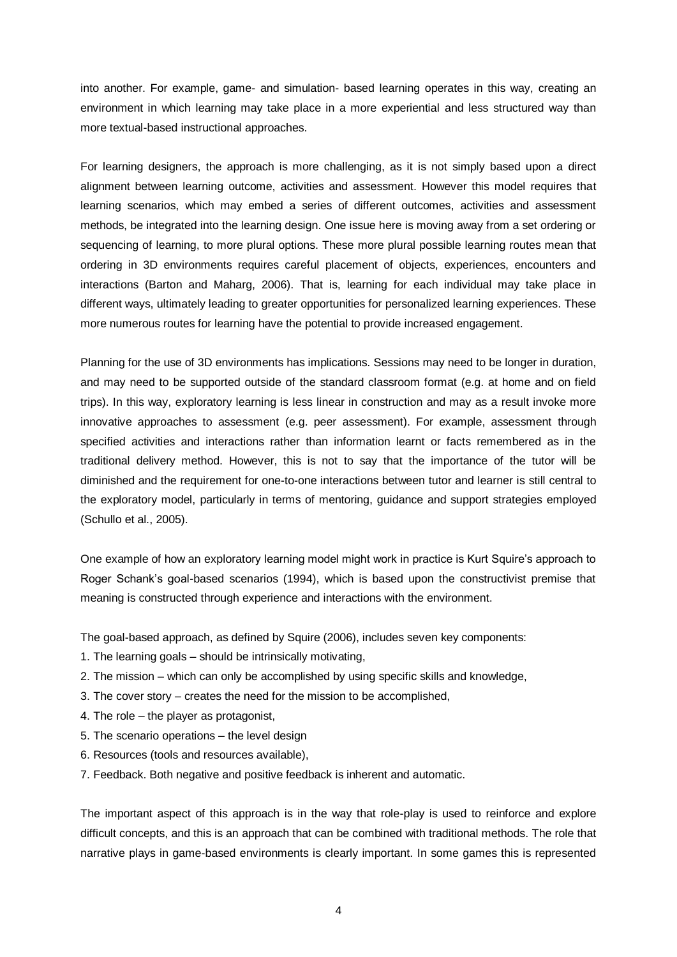into another. For example, game- and simulation- based learning operates in this way, creating an environment in which learning may take place in a more experiential and less structured way than more textual-based instructional approaches.

For learning designers, the approach is more challenging, as it is not simply based upon a direct alignment between learning outcome, activities and assessment. However this model requires that learning scenarios, which may embed a series of different outcomes, activities and assessment methods, be integrated into the learning design. One issue here is moving away from a set ordering or sequencing of learning, to more plural options. These more plural possible learning routes mean that ordering in 3D environments requires careful placement of objects, experiences, encounters and interactions (Barton and Maharg, 2006). That is, learning for each individual may take place in different ways, ultimately leading to greater opportunities for personalized learning experiences. These more numerous routes for learning have the potential to provide increased engagement.

Planning for the use of 3D environments has implications. Sessions may need to be longer in duration, and may need to be supported outside of the standard classroom format (e.g. at home and on field trips). In this way, exploratory learning is less linear in construction and may as a result invoke more innovative approaches to assessment (e.g. peer assessment). For example, assessment through specified activities and interactions rather than information learnt or facts remembered as in the traditional delivery method. However, this is not to say that the importance of the tutor will be diminished and the requirement for one-to-one interactions between tutor and learner is still central to the exploratory model, particularly in terms of mentoring, guidance and support strategies employed (Schullo et al., 2005).

One example of how an exploratory learning model might work in practice is Kurt Squire's approach to Roger Schank's goal-based scenarios (1994), which is based upon the constructivist premise that meaning is constructed through experience and interactions with the environment.

The goal-based approach, as defined by Squire (2006), includes seven key components:

- 1. The learning goals should be intrinsically motivating,
- 2. The mission which can only be accomplished by using specific skills and knowledge,
- 3. The cover story creates the need for the mission to be accomplished,
- 4. The role the player as protagonist,
- 5. The scenario operations the level design
- 6. Resources (tools and resources available),
- 7. Feedback. Both negative and positive feedback is inherent and automatic.

The important aspect of this approach is in the way that role-play is used to reinforce and explore difficult concepts, and this is an approach that can be combined with traditional methods. The role that narrative plays in game-based environments is clearly important. In some games this is represented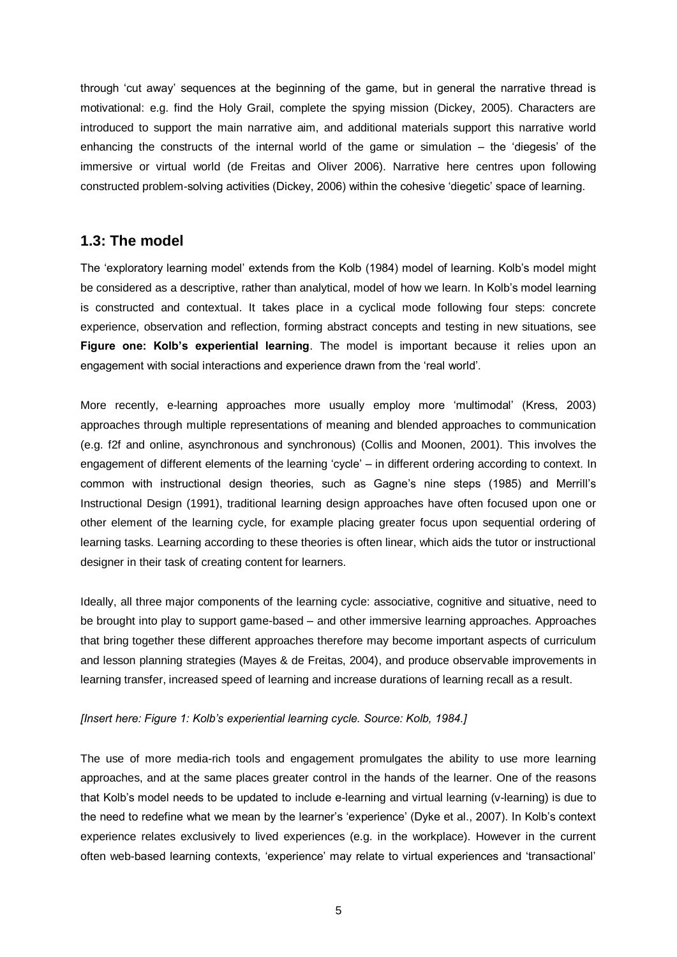through 'cut away' sequences at the beginning of the game, but in general the narrative thread is motivational: e.g. find the Holy Grail, complete the spying mission (Dickey, 2005). Characters are introduced to support the main narrative aim, and additional materials support this narrative world enhancing the constructs of the internal world of the game or simulation – the 'diegesis' of the immersive or virtual world (de Freitas and Oliver 2006). Narrative here centres upon following constructed problem-solving activities (Dickey, 2006) within the cohesive 'diegetic' space of learning.

## **1.3: The model**

The 'exploratory learning model' extends from the Kolb (1984) model of learning. Kolb's model might be considered as a descriptive, rather than analytical, model of how we learn. In Kolb's model learning is constructed and contextual. It takes place in a cyclical mode following four steps: concrete experience, observation and reflection, forming abstract concepts and testing in new situations, see **Figure one: Kolb's experiential learning**. The model is important because it relies upon an engagement with social interactions and experience drawn from the 'real world'.

More recently, e-learning approaches more usually employ more 'multimodal' (Kress, 2003) approaches through multiple representations of meaning and blended approaches to communication (e.g. f2f and online, asynchronous and synchronous) (Collis and Moonen, 2001). This involves the engagement of different elements of the learning 'cycle' – in different ordering according to context. In common with instructional design theories, such as Gagne's nine steps (1985) and Merrill's Instructional Design (1991), traditional learning design approaches have often focused upon one or other element of the learning cycle, for example placing greater focus upon sequential ordering of learning tasks. Learning according to these theories is often linear, which aids the tutor or instructional designer in their task of creating content for learners.

Ideally, all three major components of the learning cycle: associative, cognitive and situative, need to be brought into play to support game-based – and other immersive learning approaches. Approaches that bring together these different approaches therefore may become important aspects of curriculum and lesson planning strategies (Mayes & de Freitas, 2004), and produce observable improvements in learning transfer, increased speed of learning and increase durations of learning recall as a result.

#### *[Insert here: Figure 1: Kolb's experiential learning cycle. Source: Kolb, 1984.]*

The use of more media-rich tools and engagement promulgates the ability to use more learning approaches, and at the same places greater control in the hands of the learner. One of the reasons that Kolb's model needs to be updated to include e-learning and virtual learning (v-learning) is due to the need to redefine what we mean by the learner's 'experience' (Dyke et al., 2007). In Kolb's context experience relates exclusively to lived experiences (e.g. in the workplace). However in the current often web-based learning contexts, 'experience' may relate to virtual experiences and 'transactional'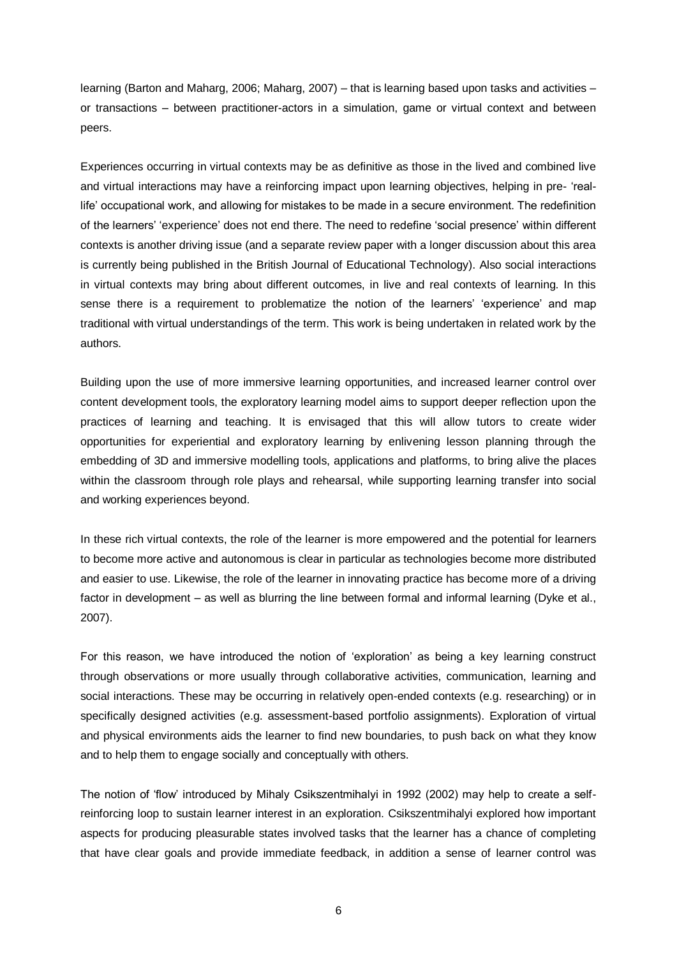learning (Barton and Maharg, 2006; Maharg, 2007) – that is learning based upon tasks and activities – or transactions – between practitioner-actors in a simulation, game or virtual context and between peers.

Experiences occurring in virtual contexts may be as definitive as those in the lived and combined live and virtual interactions may have a reinforcing impact upon learning objectives, helping in pre- 'reallife' occupational work, and allowing for mistakes to be made in a secure environment. The redefinition of the learners' 'experience' does not end there. The need to redefine 'social presence' within different contexts is another driving issue (and a separate review paper with a longer discussion about this area is currently being published in the British Journal of Educational Technology). Also social interactions in virtual contexts may bring about different outcomes, in live and real contexts of learning. In this sense there is a requirement to problematize the notion of the learners' 'experience' and map traditional with virtual understandings of the term. This work is being undertaken in related work by the authors.

Building upon the use of more immersive learning opportunities, and increased learner control over content development tools, the exploratory learning model aims to support deeper reflection upon the practices of learning and teaching. It is envisaged that this will allow tutors to create wider opportunities for experiential and exploratory learning by enlivening lesson planning through the embedding of 3D and immersive modelling tools, applications and platforms, to bring alive the places within the classroom through role plays and rehearsal, while supporting learning transfer into social and working experiences beyond.

In these rich virtual contexts, the role of the learner is more empowered and the potential for learners to become more active and autonomous is clear in particular as technologies become more distributed and easier to use. Likewise, the role of the learner in innovating practice has become more of a driving factor in development – as well as blurring the line between formal and informal learning (Dyke et al., 2007).

For this reason, we have introduced the notion of 'exploration' as being a key learning construct through observations or more usually through collaborative activities, communication, learning and social interactions. These may be occurring in relatively open-ended contexts (e.g. researching) or in specifically designed activities (e.g. assessment-based portfolio assignments). Exploration of virtual and physical environments aids the learner to find new boundaries, to push back on what they know and to help them to engage socially and conceptually with others.

The notion of 'flow' introduced by Mihaly Csikszentmihalyi in 1992 (2002) may help to create a selfreinforcing loop to sustain learner interest in an exploration. Csikszentmihalyi explored how important aspects for producing pleasurable states involved tasks that the learner has a chance of completing that have clear goals and provide immediate feedback, in addition a sense of learner control was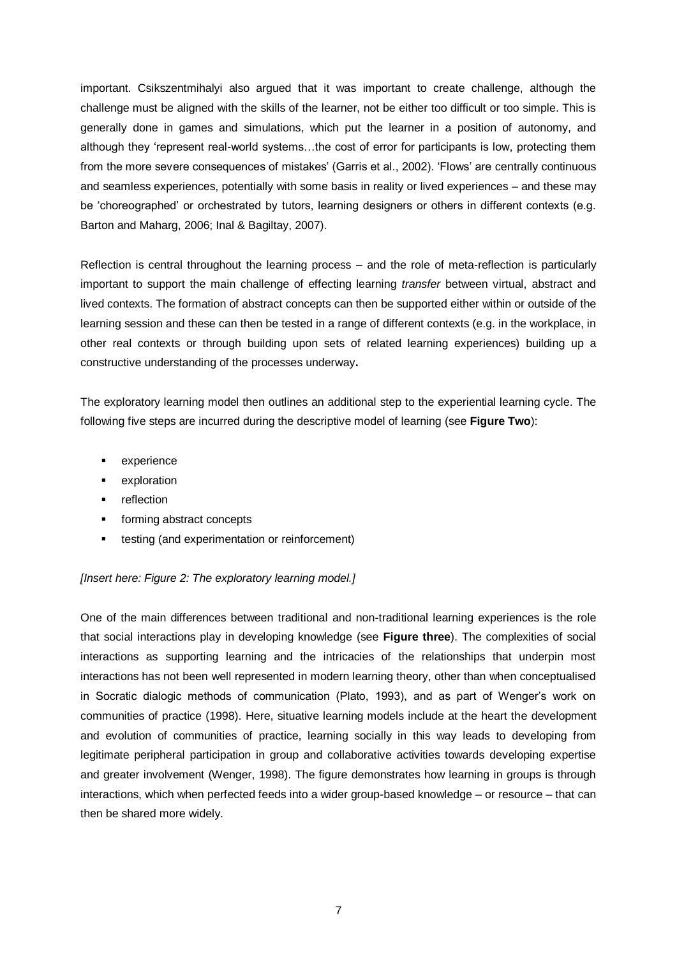important. Csikszentmihalyi also argued that it was important to create challenge, although the challenge must be aligned with the skills of the learner, not be either too difficult or too simple. This is generally done in games and simulations, which put the learner in a position of autonomy, and although they 'represent real-world systems…the cost of error for participants is low, protecting them from the more severe consequences of mistakes' (Garris et al., 2002). 'Flows' are centrally continuous and seamless experiences, potentially with some basis in reality or lived experiences – and these may be 'choreographed' or orchestrated by tutors, learning designers or others in different contexts (e.g. Barton and Maharg, 2006; Inal & Bagiltay, 2007).

Reflection is central throughout the learning process – and the role of meta-reflection is particularly important to support the main challenge of effecting learning *transfer* between virtual, abstract and lived contexts. The formation of abstract concepts can then be supported either within or outside of the learning session and these can then be tested in a range of different contexts (e.g. in the workplace, in other real contexts or through building upon sets of related learning experiences) building up a constructive understanding of the processes underway**.** 

The exploratory learning model then outlines an additional step to the experiential learning cycle. The following five steps are incurred during the descriptive model of learning (see **Figure Two**):

- **•** experience
- **•** exploration
- **•** reflection
- **forming abstract concepts**
- testing (and experimentation or reinforcement)

#### *[Insert here: Figure 2: The exploratory learning model.]*

One of the main differences between traditional and non-traditional learning experiences is the role that social interactions play in developing knowledge (see **Figure three**). The complexities of social interactions as supporting learning and the intricacies of the relationships that underpin most interactions has not been well represented in modern learning theory, other than when conceptualised in Socratic dialogic methods of communication (Plato, 1993), and as part of Wenger's work on communities of practice (1998). Here, situative learning models include at the heart the development and evolution of communities of practice, learning socially in this way leads to developing from legitimate peripheral participation in group and collaborative activities towards developing expertise and greater involvement (Wenger, 1998). The figure demonstrates how learning in groups is through interactions, which when perfected feeds into a wider group-based knowledge – or resource – that can then be shared more widely.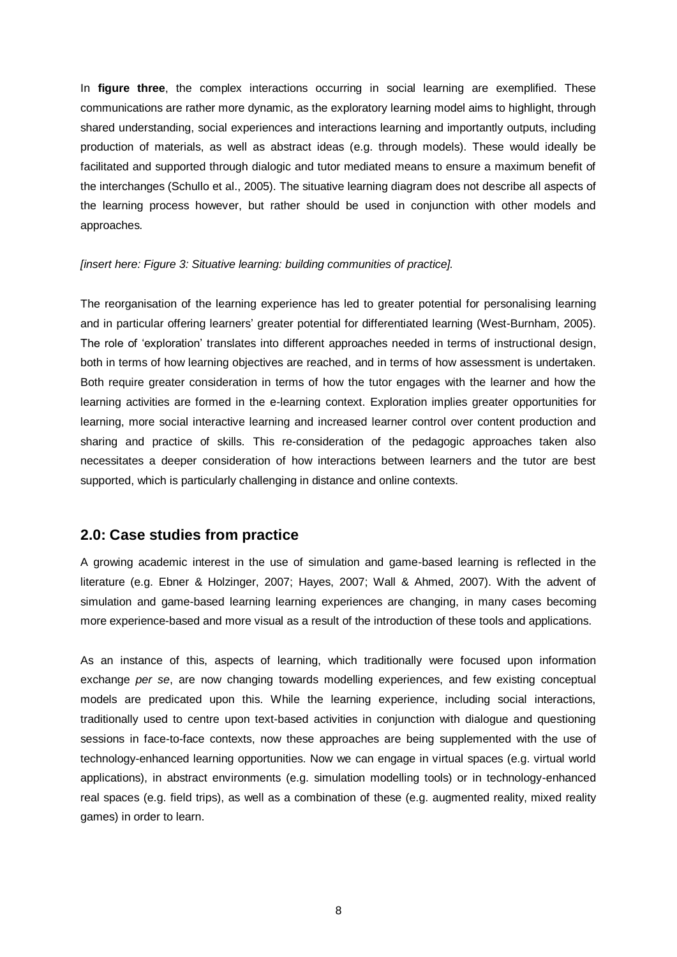In **figure three**, the complex interactions occurring in social learning are exemplified. These communications are rather more dynamic, as the exploratory learning model aims to highlight, through shared understanding, social experiences and interactions learning and importantly outputs, including production of materials, as well as abstract ideas (e.g. through models). These would ideally be facilitated and supported through dialogic and tutor mediated means to ensure a maximum benefit of the interchanges (Schullo et al., 2005). The situative learning diagram does not describe all aspects of the learning process however, but rather should be used in conjunction with other models and approaches*.*

#### *[insert here: Figure 3: Situative learning: building communities of practice].*

The reorganisation of the learning experience has led to greater potential for personalising learning and in particular offering learners' greater potential for differentiated learning (West-Burnham, 2005). The role of 'exploration' translates into different approaches needed in terms of instructional design, both in terms of how learning objectives are reached, and in terms of how assessment is undertaken. Both require greater consideration in terms of how the tutor engages with the learner and how the learning activities are formed in the e-learning context. Exploration implies greater opportunities for learning, more social interactive learning and increased learner control over content production and sharing and practice of skills. This re-consideration of the pedagogic approaches taken also necessitates a deeper consideration of how interactions between learners and the tutor are best supported, which is particularly challenging in distance and online contexts.

#### **2.0: Case studies from practice**

A growing academic interest in the use of simulation and game-based learning is reflected in the literature (e.g. Ebner & Holzinger, 2007; Hayes, 2007; Wall & Ahmed, 2007). With the advent of simulation and game-based learning learning experiences are changing, in many cases becoming more experience-based and more visual as a result of the introduction of these tools and applications.

As an instance of this, aspects of learning, which traditionally were focused upon information exchange *per se*, are now changing towards modelling experiences, and few existing conceptual models are predicated upon this. While the learning experience, including social interactions, traditionally used to centre upon text-based activities in conjunction with dialogue and questioning sessions in face-to-face contexts, now these approaches are being supplemented with the use of technology-enhanced learning opportunities. Now we can engage in virtual spaces (e.g. virtual world applications), in abstract environments (e.g. simulation modelling tools) or in technology-enhanced real spaces (e.g. field trips), as well as a combination of these (e.g. augmented reality, mixed reality games) in order to learn.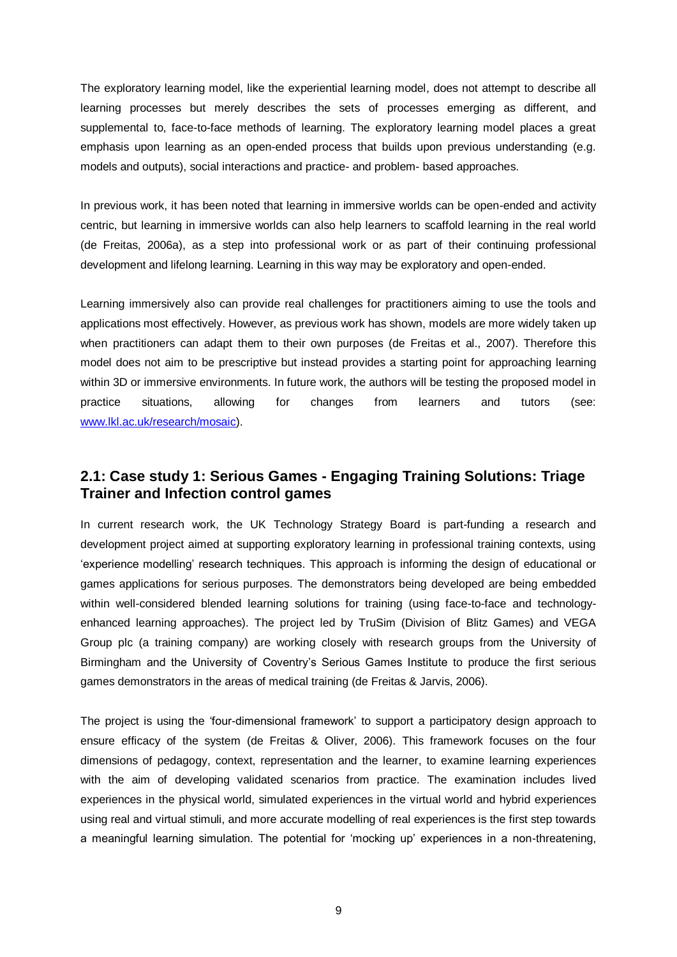The exploratory learning model, like the experiential learning model, does not attempt to describe all learning processes but merely describes the sets of processes emerging as different, and supplemental to, face-to-face methods of learning. The exploratory learning model places a great emphasis upon learning as an open-ended process that builds upon previous understanding (e.g. models and outputs), social interactions and practice- and problem- based approaches.

In previous work, it has been noted that learning in immersive worlds can be open-ended and activity centric, but learning in immersive worlds can also help learners to scaffold learning in the real world (de Freitas, 2006a), as a step into professional work or as part of their continuing professional development and lifelong learning. Learning in this way may be exploratory and open-ended.

Learning immersively also can provide real challenges for practitioners aiming to use the tools and applications most effectively. However, as previous work has shown, models are more widely taken up when practitioners can adapt them to their own purposes (de Freitas et al., 2007). Therefore this model does not aim to be prescriptive but instead provides a starting point for approaching learning within 3D or immersive environments. In future work, the authors will be testing the proposed model in practice situations, allowing for changes from learners and tutors (see: [www.lkl.ac.uk/research/mosaic\)](http://www.lkl.ac.uk/research/mosaic).

## **2.1: Case study 1: Serious Games - Engaging Training Solutions: Triage Trainer and Infection control games**

In current research work, the UK Technology Strategy Board is part-funding a research and development project aimed at supporting exploratory learning in professional training contexts, using 'experience modelling' research techniques. This approach is informing the design of educational or games applications for serious purposes. The demonstrators being developed are being embedded within well-considered blended learning solutions for training (using face-to-face and technologyenhanced learning approaches). The project led by TruSim (Division of Blitz Games) and VEGA Group plc (a training company) are working closely with research groups from the University of Birmingham and the University of Coventry's Serious Games Institute to produce the first serious games demonstrators in the areas of medical training (de Freitas & Jarvis, 2006).

The project is using the 'four-dimensional framework' to support a participatory design approach to ensure efficacy of the system (de Freitas & Oliver, 2006). This framework focuses on the four dimensions of pedagogy, context, representation and the learner, to examine learning experiences with the aim of developing validated scenarios from practice. The examination includes lived experiences in the physical world, simulated experiences in the virtual world and hybrid experiences using real and virtual stimuli, and more accurate modelling of real experiences is the first step towards a meaningful learning simulation. The potential for 'mocking up' experiences in a non-threatening,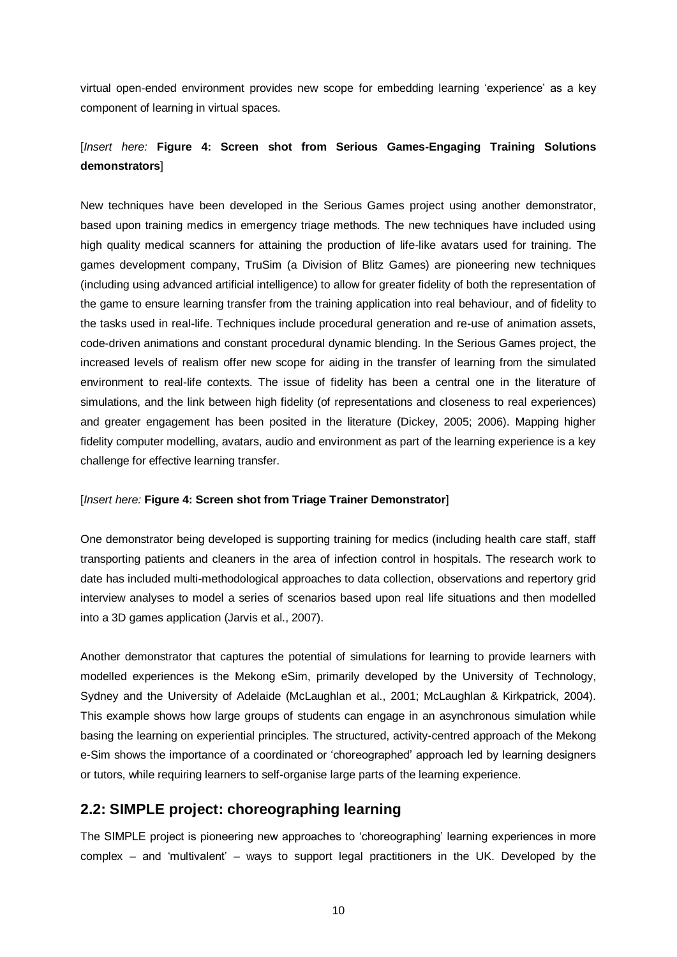virtual open-ended environment provides new scope for embedding learning 'experience' as a key component of learning in virtual spaces.

## [*Insert here:* **Figure 4: Screen shot from Serious Games-Engaging Training Solutions demonstrators**]

New techniques have been developed in the Serious Games project using another demonstrator, based upon training medics in emergency triage methods. The new techniques have included using high quality medical scanners for attaining the production of life-like avatars used for training. The games development company, TruSim (a Division of Blitz Games) are pioneering new techniques (including using advanced artificial intelligence) to allow for greater fidelity of both the representation of the game to ensure learning transfer from the training application into real behaviour, and of fidelity to the tasks used in real-life. Techniques include procedural generation and re-use of animation assets, code-driven animations and constant procedural dynamic blending. In the Serious Games project, the increased levels of realism offer new scope for aiding in the transfer of learning from the simulated environment to real-life contexts. The issue of fidelity has been a central one in the literature of simulations, and the link between high fidelity (of representations and closeness to real experiences) and greater engagement has been posited in the literature (Dickey, 2005; 2006). Mapping higher fidelity computer modelling, avatars, audio and environment as part of the learning experience is a key challenge for effective learning transfer.

#### [*Insert here:* **Figure 4: Screen shot from Triage Trainer Demonstrator**]

One demonstrator being developed is supporting training for medics (including health care staff, staff transporting patients and cleaners in the area of infection control in hospitals. The research work to date has included multi-methodological approaches to data collection, observations and repertory grid interview analyses to model a series of scenarios based upon real life situations and then modelled into a 3D games application (Jarvis et al., 2007).

Another demonstrator that captures the potential of simulations for learning to provide learners with modelled experiences is the Mekong eSim, primarily developed by the University of Technology, Sydney and the University of Adelaide (McLaughlan et al., 2001; McLaughlan & Kirkpatrick, 2004). This example shows how large groups of students can engage in an asynchronous simulation while basing the learning on experiential principles. The structured, activity-centred approach of the Mekong e-Sim shows the importance of a coordinated or 'choreographed' approach led by learning designers or tutors, while requiring learners to self-organise large parts of the learning experience.

## **2.2: SIMPLE project: choreographing learning**

The SIMPLE project is pioneering new approaches to 'choreographing' learning experiences in more complex – and 'multivalent' – ways to support legal practitioners in the UK. Developed by the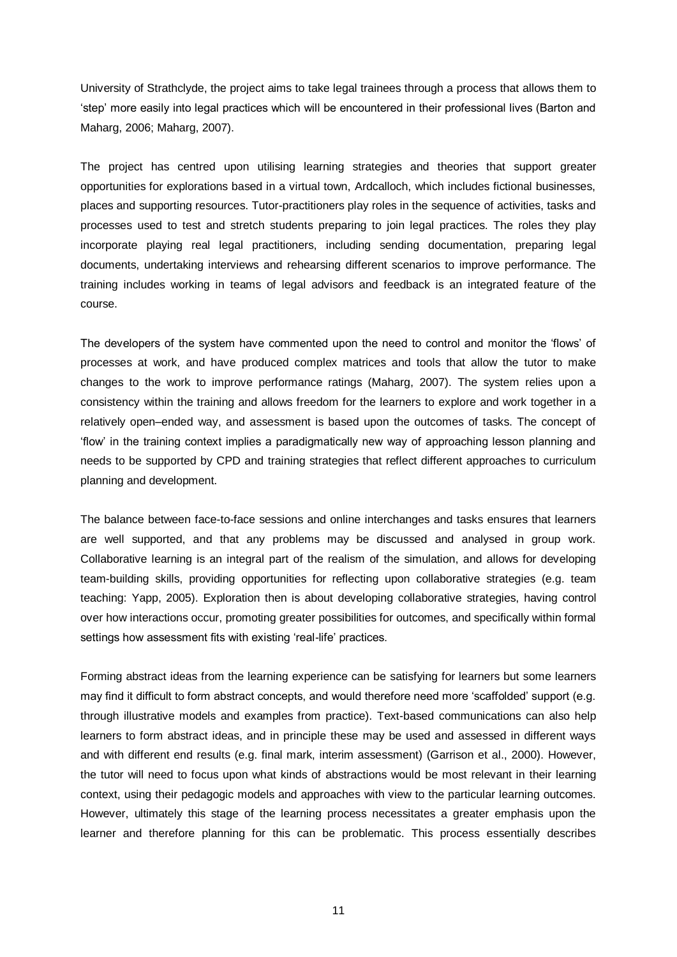University of Strathclyde, the project aims to take legal trainees through a process that allows them to 'step' more easily into legal practices which will be encountered in their professional lives (Barton and Maharg, 2006; Maharg, 2007).

The project has centred upon utilising learning strategies and theories that support greater opportunities for explorations based in a virtual town, Ardcalloch, which includes fictional businesses, places and supporting resources. Tutor-practitioners play roles in the sequence of activities, tasks and processes used to test and stretch students preparing to join legal practices. The roles they play incorporate playing real legal practitioners, including sending documentation, preparing legal documents, undertaking interviews and rehearsing different scenarios to improve performance. The training includes working in teams of legal advisors and feedback is an integrated feature of the course.

The developers of the system have commented upon the need to control and monitor the 'flows' of processes at work, and have produced complex matrices and tools that allow the tutor to make changes to the work to improve performance ratings (Maharg, 2007). The system relies upon a consistency within the training and allows freedom for the learners to explore and work together in a relatively open–ended way, and assessment is based upon the outcomes of tasks. The concept of 'flow' in the training context implies a paradigmatically new way of approaching lesson planning and needs to be supported by CPD and training strategies that reflect different approaches to curriculum planning and development.

The balance between face-to-face sessions and online interchanges and tasks ensures that learners are well supported, and that any problems may be discussed and analysed in group work. Collaborative learning is an integral part of the realism of the simulation, and allows for developing team-building skills, providing opportunities for reflecting upon collaborative strategies (e.g. team teaching: Yapp, 2005). Exploration then is about developing collaborative strategies, having control over how interactions occur, promoting greater possibilities for outcomes, and specifically within formal settings how assessment fits with existing 'real-life' practices.

Forming abstract ideas from the learning experience can be satisfying for learners but some learners may find it difficult to form abstract concepts, and would therefore need more 'scaffolded' support (e.g. through illustrative models and examples from practice). Text-based communications can also help learners to form abstract ideas, and in principle these may be used and assessed in different ways and with different end results (e.g. final mark, interim assessment) (Garrison et al., 2000). However, the tutor will need to focus upon what kinds of abstractions would be most relevant in their learning context, using their pedagogic models and approaches with view to the particular learning outcomes. However, ultimately this stage of the learning process necessitates a greater emphasis upon the learner and therefore planning for this can be problematic. This process essentially describes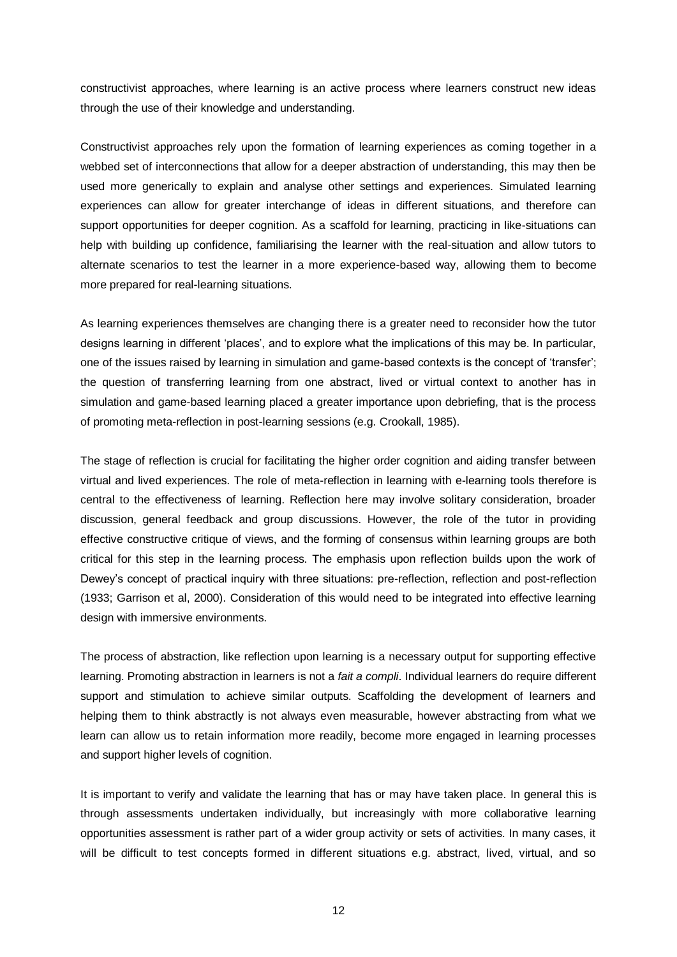constructivist approaches, where learning is an active process where learners construct new ideas through the use of their knowledge and understanding.

Constructivist approaches rely upon the formation of learning experiences as coming together in a webbed set of interconnections that allow for a deeper abstraction of understanding, this may then be used more generically to explain and analyse other settings and experiences. Simulated learning experiences can allow for greater interchange of ideas in different situations, and therefore can support opportunities for deeper cognition. As a scaffold for learning, practicing in like-situations can help with building up confidence, familiarising the learner with the real-situation and allow tutors to alternate scenarios to test the learner in a more experience-based way, allowing them to become more prepared for real-learning situations.

As learning experiences themselves are changing there is a greater need to reconsider how the tutor designs learning in different 'places', and to explore what the implications of this may be. In particular, one of the issues raised by learning in simulation and game-based contexts is the concept of 'transfer'; the question of transferring learning from one abstract, lived or virtual context to another has in simulation and game-based learning placed a greater importance upon debriefing, that is the process of promoting meta-reflection in post-learning sessions (e.g. Crookall, 1985).

The stage of reflection is crucial for facilitating the higher order cognition and aiding transfer between virtual and lived experiences. The role of meta-reflection in learning with e-learning tools therefore is central to the effectiveness of learning. Reflection here may involve solitary consideration, broader discussion, general feedback and group discussions. However, the role of the tutor in providing effective constructive critique of views, and the forming of consensus within learning groups are both critical for this step in the learning process. The emphasis upon reflection builds upon the work of Dewey's concept of practical inquiry with three situations: pre-reflection, reflection and post-reflection (1933; Garrison et al, 2000). Consideration of this would need to be integrated into effective learning design with immersive environments.

The process of abstraction, like reflection upon learning is a necessary output for supporting effective learning. Promoting abstraction in learners is not a *fait a compli*. Individual learners do require different support and stimulation to achieve similar outputs. Scaffolding the development of learners and helping them to think abstractly is not always even measurable, however abstracting from what we learn can allow us to retain information more readily, become more engaged in learning processes and support higher levels of cognition.

It is important to verify and validate the learning that has or may have taken place. In general this is through assessments undertaken individually, but increasingly with more collaborative learning opportunities assessment is rather part of a wider group activity or sets of activities. In many cases, it will be difficult to test concepts formed in different situations e.g. abstract, lived, virtual, and so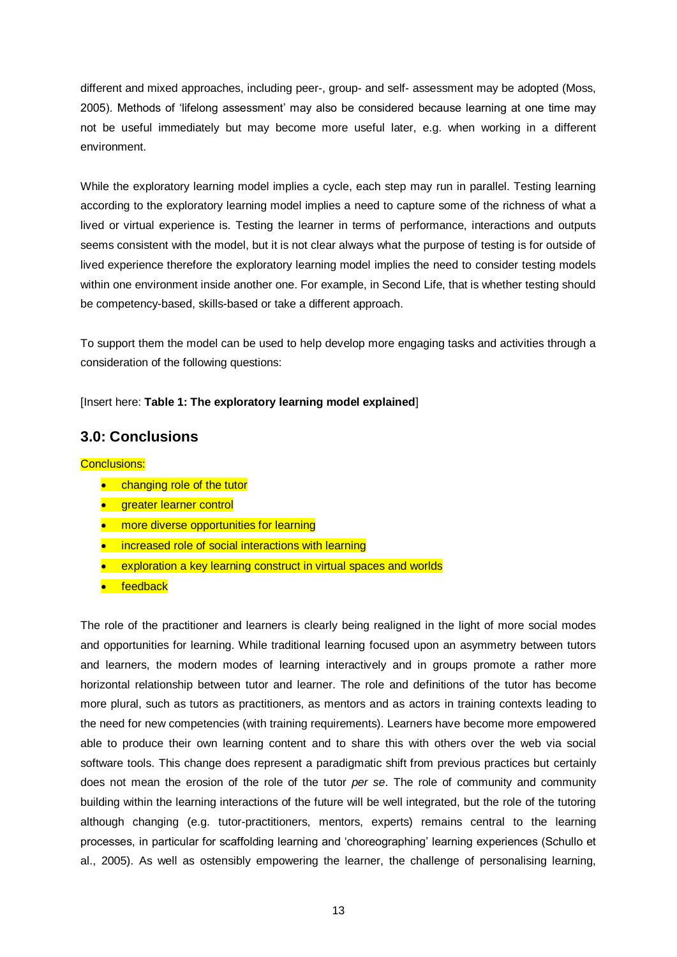different and mixed approaches, including peer-, group- and self- assessment may be adopted (Moss, 2005). Methods of 'lifelong assessment' may also be considered because learning at one time may not be useful immediately but may become more useful later, e.g. when working in a different environment.

While the exploratory learning model implies a cycle, each step may run in parallel. Testing learning according to the exploratory learning model implies a need to capture some of the richness of what a lived or virtual experience is. Testing the learner in terms of performance, interactions and outputs seems consistent with the model, but it is not clear always what the purpose of testing is for outside of lived experience therefore the exploratory learning model implies the need to consider testing models within one environment inside another one. For example, in Second Life, that is whether testing should be competency-based, skills-based or take a different approach.

To support them the model can be used to help develop more engaging tasks and activities through a consideration of the following questions:

[Insert here: **Table 1: The exploratory learning model explained**]

## **3.0: Conclusions**

#### Conclusions:

- changing role of the tutor
- **e** greater learner control
- **more diverse opportunities for learning**
- increased role of social interactions with learning
- **e** exploration a key learning construct in virtual spaces and worlds
- **•** feedback

The role of the practitioner and learners is clearly being realigned in the light of more social modes and opportunities for learning. While traditional learning focused upon an asymmetry between tutors and learners, the modern modes of learning interactively and in groups promote a rather more horizontal relationship between tutor and learner. The role and definitions of the tutor has become more plural, such as tutors as practitioners, as mentors and as actors in training contexts leading to the need for new competencies (with training requirements). Learners have become more empowered able to produce their own learning content and to share this with others over the web via social software tools. This change does represent a paradigmatic shift from previous practices but certainly does not mean the erosion of the role of the tutor *per se*. The role of community and community building within the learning interactions of the future will be well integrated, but the role of the tutoring although changing (e.g. tutor-practitioners, mentors, experts) remains central to the learning processes, in particular for scaffolding learning and 'choreographing' learning experiences (Schullo et al., 2005). As well as ostensibly empowering the learner, the challenge of personalising learning,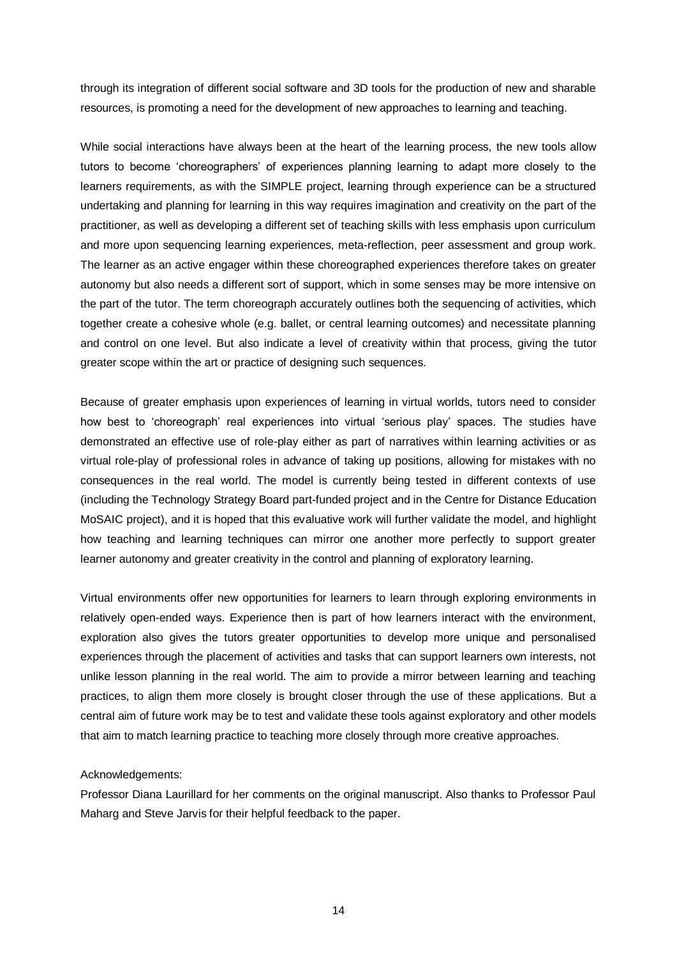through its integration of different social software and 3D tools for the production of new and sharable resources, is promoting a need for the development of new approaches to learning and teaching.

While social interactions have always been at the heart of the learning process, the new tools allow tutors to become 'choreographers' of experiences planning learning to adapt more closely to the learners requirements, as with the SIMPLE project, learning through experience can be a structured undertaking and planning for learning in this way requires imagination and creativity on the part of the practitioner, as well as developing a different set of teaching skills with less emphasis upon curriculum and more upon sequencing learning experiences, meta-reflection, peer assessment and group work. The learner as an active engager within these choreographed experiences therefore takes on greater autonomy but also needs a different sort of support, which in some senses may be more intensive on the part of the tutor. The term choreograph accurately outlines both the sequencing of activities, which together create a cohesive whole (e.g. ballet, or central learning outcomes) and necessitate planning and control on one level. But also indicate a level of creativity within that process, giving the tutor greater scope within the art or practice of designing such sequences.

Because of greater emphasis upon experiences of learning in virtual worlds, tutors need to consider how best to 'choreograph' real experiences into virtual 'serious play' spaces. The studies have demonstrated an effective use of role-play either as part of narratives within learning activities or as virtual role-play of professional roles in advance of taking up positions, allowing for mistakes with no consequences in the real world. The model is currently being tested in different contexts of use (including the Technology Strategy Board part-funded project and in the Centre for Distance Education MoSAIC project), and it is hoped that this evaluative work will further validate the model, and highlight how teaching and learning techniques can mirror one another more perfectly to support greater learner autonomy and greater creativity in the control and planning of exploratory learning.

Virtual environments offer new opportunities for learners to learn through exploring environments in relatively open-ended ways. Experience then is part of how learners interact with the environment, exploration also gives the tutors greater opportunities to develop more unique and personalised experiences through the placement of activities and tasks that can support learners own interests, not unlike lesson planning in the real world. The aim to provide a mirror between learning and teaching practices, to align them more closely is brought closer through the use of these applications. But a central aim of future work may be to test and validate these tools against exploratory and other models that aim to match learning practice to teaching more closely through more creative approaches.

#### Acknowledgements:

Professor Diana Laurillard for her comments on the original manuscript. Also thanks to Professor Paul Maharg and Steve Jarvis for their helpful feedback to the paper.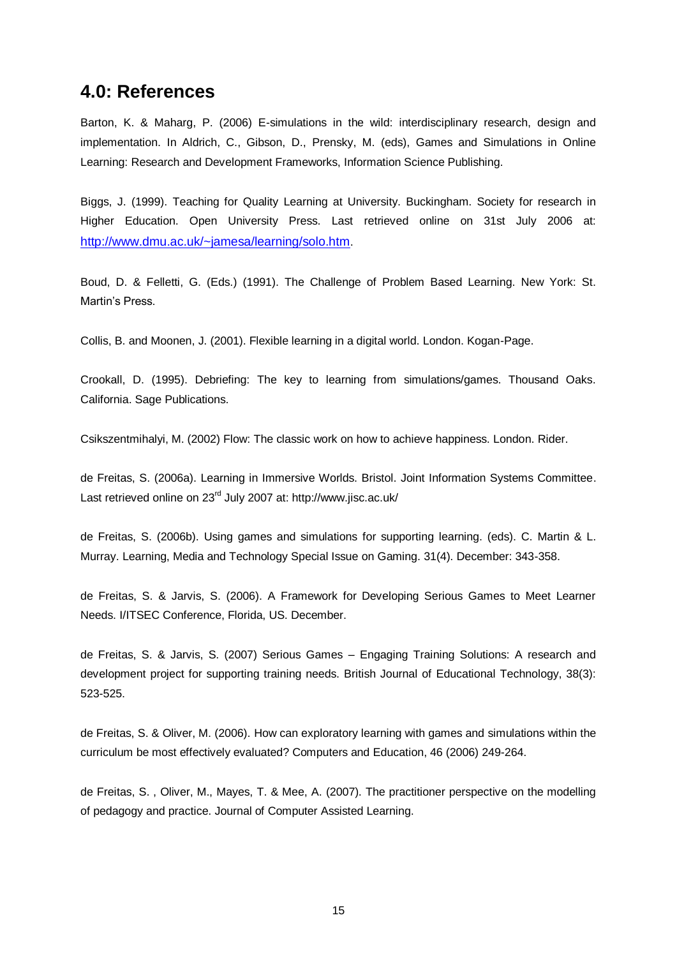## **4.0: References**

Barton, K. & Maharg, P. (2006) E-simulations in the wild: interdisciplinary research, design and implementation. In Aldrich, C., Gibson, D., Prensky, M. (eds), Games and Simulations in Online Learning: Research and Development Frameworks, Information Science Publishing.

Biggs, J. (1999). Teaching for Quality Learning at University. Buckingham. Society for research in Higher Education. Open University Press. Last retrieved online on 31st July 2006 at: <http://www.dmu.ac.uk/~jamesa/learning/solo.htm>.

Boud, D. & Felletti, G. (Eds.) (1991). The Challenge of Problem Based Learning. New York: St. Martin's Press.

Collis, B. and Moonen, J. (2001). Flexible learning in a digital world. London. Kogan-Page.

Crookall, D. (1995). Debriefing: The key to learning from simulations/games. Thousand Oaks. California. Sage Publications.

Csikszentmihalyi, M. (2002) Flow: The classic work on how to achieve happiness. London. Rider.

de Freitas, S. (2006a). Learning in Immersive Worlds. Bristol. Joint Information Systems Committee. Last retrieved online on 23<sup>rd</sup> July 2007 at: http://www.jisc.ac.uk/

de Freitas, S. (2006b). Using games and simulations for supporting learning. (eds). C. Martin & L. Murray. Learning, Media and Technology Special Issue on Gaming. 31(4). December: 343-358.

de Freitas, S. & Jarvis, S. (2006). A Framework for Developing Serious Games to Meet Learner Needs. I/ITSEC Conference, Florida, US. December.

de Freitas, S. & Jarvis, S. (2007) Serious Games – Engaging Training Solutions: A research and development project for supporting training needs. British Journal of Educational Technology, 38(3): 523-525.

de Freitas, S. & Oliver, M. (2006). How can exploratory learning with games and simulations within the curriculum be most effectively evaluated? Computers and Education, 46 (2006) 249-264.

de Freitas, S. , Oliver, M., Mayes, T. & Mee, A. (2007). The practitioner perspective on the modelling of pedagogy and practice. Journal of Computer Assisted Learning.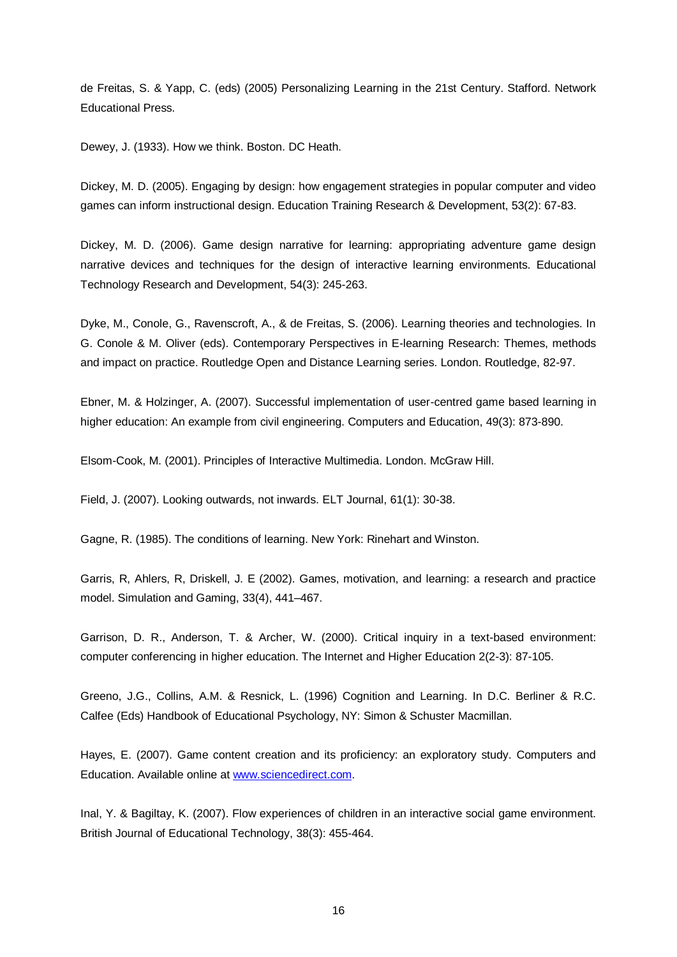de Freitas, S. & Yapp, C. (eds) (2005) Personalizing Learning in the 21st Century. Stafford. Network Educational Press.

Dewey, J. (1933). How we think. Boston. DC Heath.

Dickey, M. D. (2005). Engaging by design: how engagement strategies in popular computer and video games can inform instructional design. Education Training Research & Development, 53(2): 67-83.

Dickey, M. D. (2006). Game design narrative for learning: appropriating adventure game design narrative devices and techniques for the design of interactive learning environments. Educational Technology Research and Development, 54(3): 245-263.

Dyke, M., Conole, G., Ravenscroft, A., & de Freitas, S. (2006). Learning theories and technologies. In G. Conole & M. Oliver (eds). Contemporary Perspectives in E-learning Research: Themes, methods and impact on practice. Routledge Open and Distance Learning series. London. Routledge, 82-97.

Ebner, M. & Holzinger, A. (2007). Successful implementation of user-centred game based learning in higher education: An example from civil engineering. Computers and Education, 49(3): 873-890.

Elsom-Cook, M. (2001). Principles of Interactive Multimedia. London. McGraw Hill.

Field, J. (2007). Looking outwards, not inwards. ELT Journal, 61(1): 30-38.

Gagne, R. (1985). The conditions of learning. New York: Rinehart and Winston.

Garris, R, Ahlers, R, Driskell, J. E (2002). Games, motivation, and learning: a research and practice model. Simulation and Gaming, 33(4), 441–467.

Garrison, D. R., Anderson, T. & Archer, W. (2000). Critical inquiry in a text-based environment: computer conferencing in higher education. The Internet and Higher Education 2(2-3): 87-105.

Greeno, J.G., Collins, A.M. & Resnick, L. (1996) Cognition and Learning. In D.C. Berliner & R.C. Calfee (Eds) Handbook of Educational Psychology, NY: Simon & Schuster Macmillan.

Hayes, E. (2007). Game content creation and its proficiency: an exploratory study. Computers and Education. Available online at [www.sciencedirect.com.](http://www.sciencedirect.com/)

Inal, Y. & Bagiltay, K. (2007). Flow experiences of children in an interactive social game environment. British Journal of Educational Technology, 38(3): 455-464.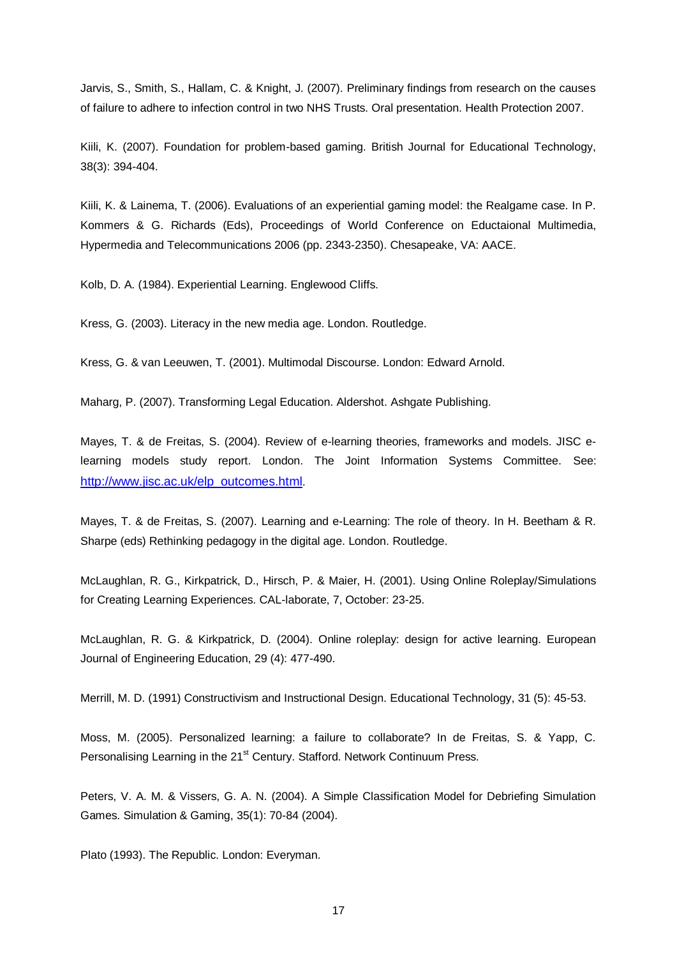Jarvis, S., Smith, S., Hallam, C. & Knight, J. (2007). Preliminary findings from research on the causes of failure to adhere to infection control in two NHS Trusts. Oral presentation. Health Protection 2007.

Kiili, K. (2007). Foundation for problem-based gaming. British Journal for Educational Technology, 38(3): 394-404.

Kiili, K. & Lainema, T. (2006). Evaluations of an experiential gaming model: the Realgame case. In P. Kommers & G. Richards (Eds), Proceedings of World Conference on Eductaional Multimedia, Hypermedia and Telecommunications 2006 (pp. 2343-2350). Chesapeake, VA: AACE.

Kolb, D. A. (1984). Experiential Learning. Englewood Cliffs.

Kress, G. (2003). Literacy in the new media age. London. Routledge.

Kress, G. & van Leeuwen, T. (2001). Multimodal Discourse. London: Edward Arnold.

Maharg, P. (2007). Transforming Legal Education. Aldershot. Ashgate Publishing.

Mayes, T. & de Freitas, S. (2004). Review of e-learning theories, frameworks and models. JISC elearning models study report. London. The Joint Information Systems Committee. See: [http://www.jisc.ac.uk/elp\\_outcomes.html](http://www.jisc.ac.uk/elp_outcomes.html).

Mayes, T. & de Freitas, S. (2007). Learning and e-Learning: The role of theory. In H. Beetham & R. Sharpe (eds) Rethinking pedagogy in the digital age. London. Routledge.

McLaughlan, R. G., Kirkpatrick, D., Hirsch, P. & Maier, H. (2001). Using Online Roleplay/Simulations for Creating Learning Experiences. CAL-laborate, 7, October: 23-25.

McLaughlan, R. G. & Kirkpatrick, D. (2004). Online roleplay: design for active learning. European Journal of Engineering Education, 29 (4): 477-490.

Merrill, M. D. (1991) Constructivism and Instructional Design. Educational Technology, 31 (5): 45-53.

Moss, M. (2005). Personalized learning: a failure to collaborate? In de Freitas, S. & Yapp, C. Personalising Learning in the 21<sup>st</sup> Century. Stafford. Network Continuum Press.

Peters, V. A. M. & Vissers, G. A. N. (2004). A Simple Classification Model for Debriefing Simulation Games. Simulation & Gaming, 35(1): 70-84 (2004).

Plato (1993). The Republic. London: Everyman.